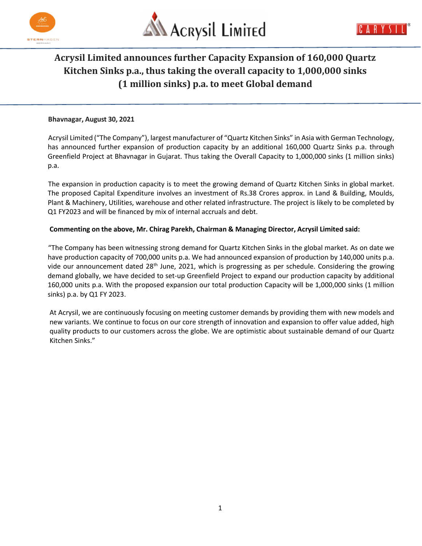



# Acrysil Limited announces further Capacity Expansion of 160,000 Quartz Kitchen Sinks p.a., thus taking the overall capacity to 1,000,000 sinks (1 million sinks) p.a. to meet Global demand

#### Bhavnagar, August 30, 2021

Acrysil Limited ("The Company"), largest manufacturer of "Quartz Kitchen Sinks" in Asia with German Technology, has announced further expansion of production capacity by an additional 160,000 Quartz Sinks p.a. through Greenfield Project at Bhavnagar in Gujarat. Thus taking the Overall Capacity to 1,000,000 sinks (1 million sinks) p.a.

The expansion in production capacity is to meet the growing demand of Quartz Kitchen Sinks in global market. The proposed Capital Expenditure involves an investment of Rs.38 Crores approx. in Land & Building, Moulds, Plant & Machinery, Utilities, warehouse and other related infrastructure. The project is likely to be completed by Q1 FY2023 and will be financed by mix of internal accruals and debt.

### Commenting on the above, Mr. Chirag Parekh, Chairman & Managing Director, Acrysil Limited said:

"The Company has been witnessing strong demand for Quartz Kitchen Sinks in the global market. As on date we have production capacity of 700,000 units p.a. We had announced expansion of production by 140,000 units p.a. vide our announcement dated 28<sup>th</sup> June, 2021, which is progressing as per schedule. Considering the growing demand globally, we have decided to set-up Greenfield Project to expand our production capacity by additional 160,000 units p.a. With the proposed expansion our total production Capacity will be 1,000,000 sinks (1 million sinks) p.a. by Q1 FY 2023.

At Acrysil, we are continuously focusing on meeting customer demands by providing them with new models and new variants. We continue to focus on our core strength of innovation and expansion to offer value added, high quality products to our customers across the globe. We are optimistic about sustainable demand of our Quartz Kitchen Sinks."